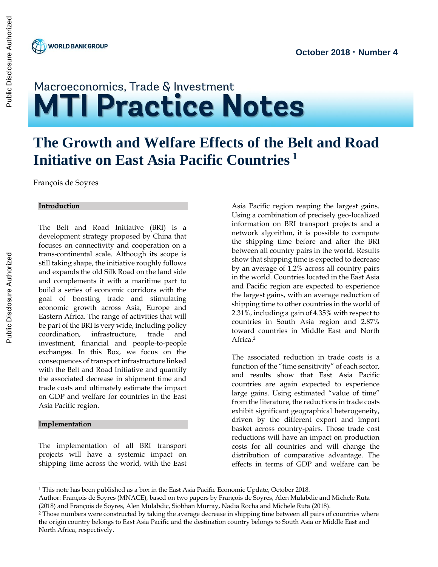

# Macroeconomics, Trade & Investment **MTI Practice Notes**

## **The Growth and Welfare Effects of the Belt and Road Initiative on East Asia Pacific Countries <sup>1</sup>**

François de Soyres

#### **Introduction**

The Belt and Road Initiative (BRI) is a development strategy proposed by China that focuses on connectivity and cooperation on a trans-continental scale. Although its scope is still taking shape, the initiative roughly follows and expands the old Silk Road on the land side and complements it with a maritime part to build a series of economic corridors with the goal of boosting trade and stimulating economic growth across Asia, Europe and Eastern Africa. The range of activities that will be part of the BRI is very wide, including policy coordination, infrastructure, trade and investment, financial and people-to-people exchanges. In this Box, we focus on the consequences of transport infrastructure linked with the Belt and Road Initiative and quantify the associated decrease in shipment time and trade costs and ultimately estimate the impact on GDP and welfare for countries in the East Asia Pacific region.

#### **Implementation**

 $\overline{a}$ 

The implementation of all BRI transport projects will have a systemic impact on shipping time across the world, with the East

Asia Pacific region reaping the largest gains. Using a combination of precisely geo-localized information on BRI transport projects and a network algorithm, it is possible to compute the shipping time before and after the BRI between all country pairs in the world. Results show that shipping time is expected to decrease by an average of 1.2% across all country pairs in the world. Countries located in the East Asia and Pacific region are expected to experience the largest gains, with an average reduction of shipping time to other countries in the world of 2.31%, including a gain of 4.35% with respect to countries in South Asia region and 2.87% toward countries in Middle East and North Africa.<sup>2</sup>

The associated reduction in trade costs is a function of the "time sensitivity" of each sector, and results show that East Asia Pacific countries are again expected to experience large gains. Using estimated "value of time" from the literature, the reductions in trade costs exhibit significant geographical heterogeneity, driven by the different export and import basket across country-pairs. Those trade cost reductions will have an impact on production costs for all countries and will change the distribution of comparative advantage. The effects in terms of GDP and welfare can be

<sup>1</sup> This note has been published as a box in the East Asia Pacific Economic Update, October 2018.

Author: François de Soyres (MNACE), based on two papers by François de Soyres, Alen Mulabdic and Michele Ruta (2018) and François de Soyres, Alen Mulabdic, Siobhan Murray, Nadia Rocha and Michele Ruta (2018).

<sup>2</sup> Those numbers were constructed by taking the average decrease in shipping time between all pairs of countries where the origin country belongs to East Asia Pacific and the destination country belongs to South Asia or Middle East and North Africa, respectively.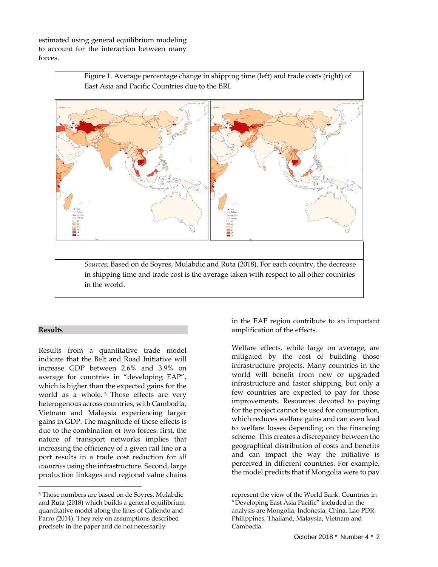estimated using general equilibrium modeling to account for the interaction between many forces.



#### **Results**

 $\overline{a}$ 

Results from a quantitative trade model indicate that the Belt and Road Initiative will increase GDP between 2.6% and 3.9% on average for countries in "developing EAP", which is higher than the expected gains for the world as a whole. <sup>3</sup> Those effects are very heterogenous across countries, with Cambodia, Vietnam and Malaysia experiencing larger gains in GDP. The magnitude of these effects is due to the combination of two forces: first, the nature of transport networks implies that increasing the efficiency of a given rail line or a port results in a trade cost reduction for *all countries* using the infrastructure. Second, large production linkages and regional value chains

in the EAP region contribute to an important amplification of the effects.

Welfare effects, while large on average, are mitigated by the cost of building those infrastructure projects. Many countries in the world will benefit from new or upgraded infrastructure and faster shipping, but only a few countries are expected to pay for those improvements. Resources devoted to paying for the project cannot be used for consumption, which reduces welfare gains and can even lead to welfare losses depending on the financing scheme. This creates a discrepancy between the geographical distribution of costs and benefits and can impact the way the initiative is perceived in different countries. For example, the model predicts that if Mongolia were to pay

<sup>3</sup> Those numbers are based on de Soyres, Mulabdic and Ruta (2018) which builds a general equilibrium quantitative model along the lines of Caliendo and Parro (2014). They rely on assumptions described precisely in the paper and do not necessarily

represent the view of the World Bank. Countries in "Developing East Asia Pacific" included in the analysis are Mongolia, Indonesia, China, Lao PDR, Philippines, Thailand, Malaysia, Vietnam and Cambodia.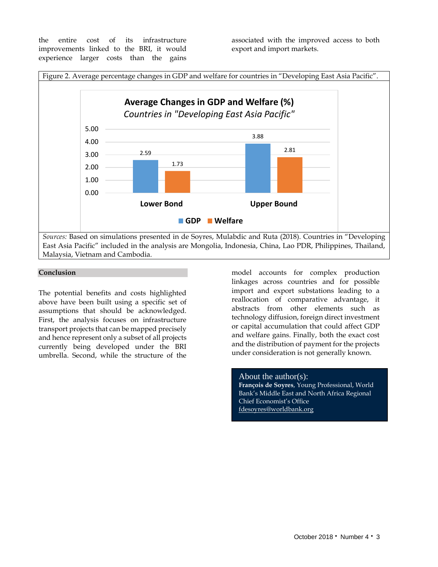the entire cost of its infrastructure improvements linked to the BRI, it would experience larger costs than the gains

associated with the improved access to both export and import markets.



#### **Conclusion**

The potential benefits and costs highlighted above have been built using a specific set of assumptions that should be acknowledged. First, the analysis focuses on infrastructure transport projects that can be mapped precisely and hence represent only a subset of all projects currently being developed under the BRI umbrella. Second, while the structure of the

model accounts for complex production linkages across countries and for possible import and export substations leading to a reallocation of comparative advantage, it abstracts from other elements such as technology diffusion, foreign direct investment or capital accumulation that could affect GDP and welfare gains. Finally, both the exact cost and the distribution of payment for the projects under consideration is not generally known.

#### About the author(s):

**François de Soyres**, Young Professional, World Bank's Middle East and North Africa Regional Chief Economist's Office [fdesoyres@worldbank.org](mailto:fdesoyres@worldbank.org)